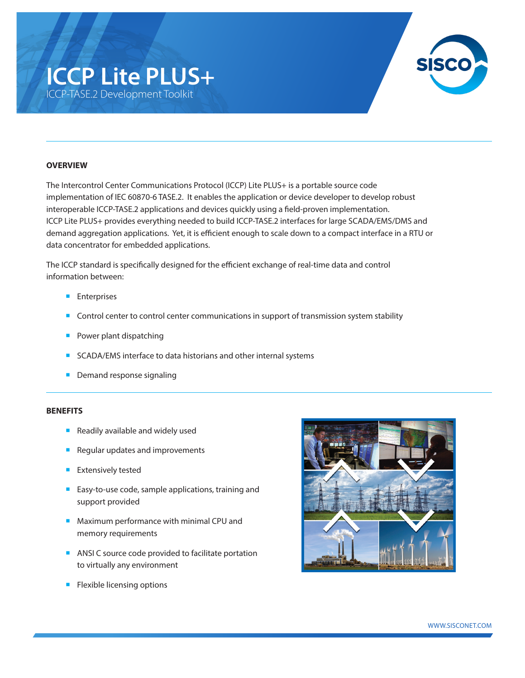# **ICCP Lite PLUS+** ICCP-TASE.2 Development Toolkit



## **OVERVIEW**

The Intercontrol Center Communications Protocol (ICCP) Lite PLUS+ is a portable source code implementation of IEC 60870-6 TASE.2. It enables the application or device developer to develop robust interoperable ICCP-TASE.2 applications and devices quickly using a field-proven implementation. ICCP Lite PLUS+ provides everything needed to build ICCP-TASE.2 interfaces for large SCADA/EMS/DMS and demand aggregation applications. Yet, it is efficient enough to scale down to a compact interface in a RTU or data concentrator for embedded applications.

The ICCP standard is specifically designed for the efficient exchange of real-time data and control information between:

- **Enterprises**
- Control center to control center communications in support of transmission system stability
- Power plant dispatching
- SCADA/EMS interface to data historians and other internal systems
- **Demand response signaling**

#### **BENEFITS**

- Readily available and widely used
- Regular updates and improvements
- **Extensively tested**
- Easy-to-use code, sample applications, training and support provided
- Maximum performance with minimal CPU and memory requirements
- ANSI C source code provided to facilitate portation to virtually any environment
- **E** Flexible licensing options